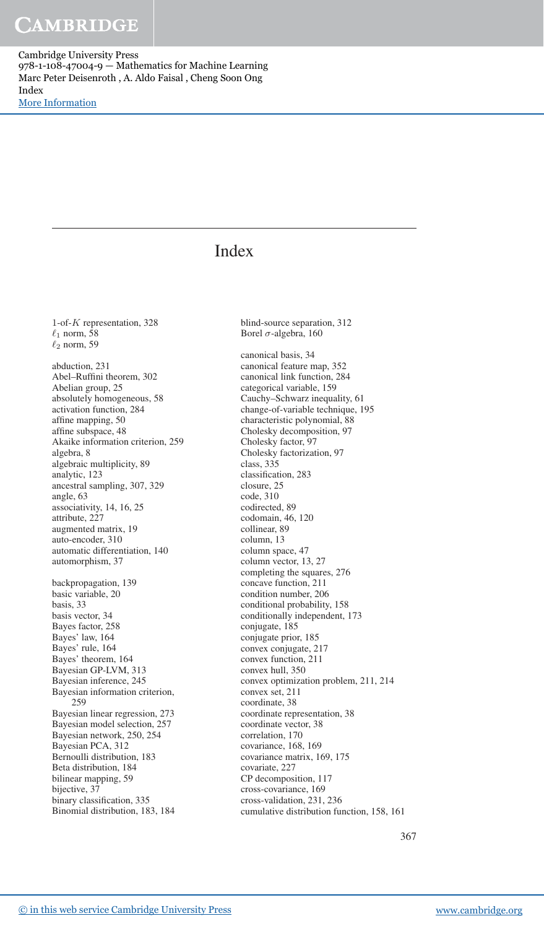Cambridge University Press 978-1-108-47004-9 — Mathematics for Machine Learning Marc Peter Deisenroth , A. Aldo Faisal , Cheng Soon Ong Index [More Information](www.cambridge.org/9781108470049)

### Index

1-of-K representation, 328  $\ell_1$  norm, 58  $\ell_2$  norm, 59 abduction, 231 Abel–Ruffini theorem, 302 Abelian group, 25 absolutely homogeneous, 58 activation function, 284 affine mapping, 50 affine subspace, 48 Akaike information criterion, 259 algebra, 8 algebraic multiplicity, 89 analytic, 123 ancestral sampling, 307, 329 angle, 63 associativity, 14, 16, 25 attribute, 227 augmented matrix, 19 auto-encoder, 310 automatic differentiation, 140 automorphism, 37 backpropagation, 139 basic variable, 20 basis, 33 basis vector, 34 Bayes factor, 258 Bayes' law, 164 Bayes' rule, 164 Bayes' theorem, 164 Bayesian GP-LVM, 313 Bayesian inference, 245 Bayesian information criterion, 259 Bayesian linear regression, 273 Bayesian model selection, 257 Bayesian network, 250, 254 Bayesian PCA, 312 Bernoulli distribution, 183 Beta distribution, 184 bilinear mapping, 59 bijective, 37 binary classification, 335 Binomial distribution, 183, 184

blind-source separation, 312 Borel  $\sigma$ -algebra, 160

canonical basis, 34 canonical feature map, 352 canonical link function, 284 categorical variable, 159 Cauchy–Schwarz inequality, 61 change-of-variable technique, 195 characteristic polynomial, 88 Cholesky decomposition, 97 Cholesky factor, 97 Cholesky factorization, 97 class, 335 classification, 283 closure, 25 code, 310 codirected, 89 codomain, 46, 120 collinear, 89 column, 13 column space, 47 column vector, 13, 27 completing the squares, 276 concave function, 211 condition number, 206 conditional probability, 158 conditionally independent, 173 conjugate, 185 conjugate prior, 185 convex conjugate, 217 convex function, 211 convex hull, 350 convex optimization problem, 211, 214 convex set, 211 coordinate, 38 coordinate representation, 38 coordinate vector, 38 correlation, 170 covariance, 168, 169 covariance matrix, 169, 175 covariate, 227 CP decomposition, 117 cross-covariance, 169 cross-validation, 231, 236 cumulative distribution function, 158, 161

367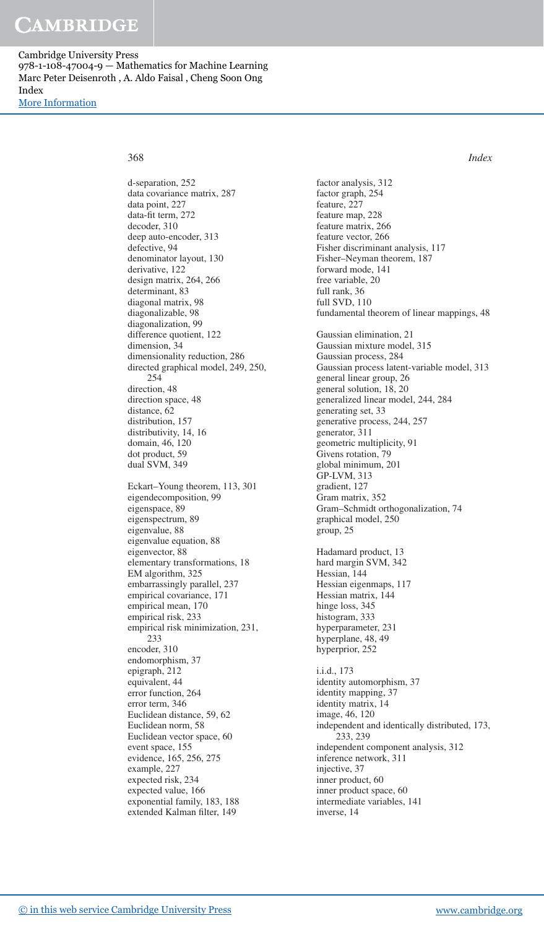# CAMBRIDGE

Cambridge University Press 978-1-108-47004-9 — Mathematics for Machine Learning Marc Peter Deisenroth , A. Aldo Faisal , Cheng Soon Ong Index [More Information](www.cambridge.org/9781108470049)

368 *Index*

d-separation, 252 data covariance matrix, 287 data point, 227 data-fit term, 272 decoder, 310 deep auto-encoder, 313 defective, 94 denominator layout, 130 derivative, 122 design matrix, 264, 266 determinant, 83 diagonal matrix, 98 diagonalizable, 98 diagonalization, 99 difference quotient, 122 dimension, 34 dimensionality reduction, 286 directed graphical model, 249, 250, 254 direction, 48 direction space, 48 distance, 62 distribution, 157 distributivity, 14, 16 domain, 46, 120 dot product, 59 dual SVM, 349 Eckart–Young theorem, 113, 301 eigendecomposition, 99 eigenspace, 89 eigenspectrum, 89 eigenvalue, 88 eigenvalue equation, 88 eigenvector, 88 elementary transformations, 18 EM algorithm, 325 embarrassingly parallel, 237 empirical covariance, 171 empirical mean, 170 empirical risk, 233 empirical risk minimization, 231, 233 encoder, 310 endomorphism, 37 epigraph, 212 equivalent, 44 error function, 264 error term, 346 Euclidean distance, 59, 62 Euclidean norm, 58 Euclidean vector space, 60 event space, 155 evidence, 165, 256, 275 example, 227 expected risk, 234 expected value, 166 exponential family, 183, 188 extended Kalman filter, 149

factor analysis, 312 factor graph, 254 feature, 227 feature map, 228 feature matrix, 266 feature vector, 266 Fisher discriminant analysis, 117 Fisher–Neyman theorem, 187 forward mode, 141 free variable, 20 full rank, 36 full SVD, 110 fundamental theorem of linear mappings, 48 Gaussian elimination, 21 Gaussian mixture model, 315 Gaussian process, 284 Gaussian process latent-variable model, 313 general linear group, 26 general solution, 18, 20 generalized linear model, 244, 284 generating set, 33 generative process, 244, 257 generator, 311 geometric multiplicity, 91 Givens rotation, 79 global minimum, 201 GP-LVM, 313 gradient, 127 Gram matrix, 352 Gram–Schmidt orthogonalization, 74 graphical model, 250 group, 25 Hadamard product, 13 hard margin SVM, 342 Hessian, 144 Hessian eigenmaps, 117 Hessian matrix, 144 hinge loss, 345 histogram, 333 hyperparameter, 231 hyperplane, 48, 49 hyperprior, 252 i.i.d., 173 identity automorphism, 37 identity mapping, 37 identity matrix, 14 image, 46, 120 independent and identically distributed, 173, 233, 239 independent component analysis, 312 inference network, 311 injective, 37 inner product, 60 inner product space, 60 intermediate variables, 141 inverse, 14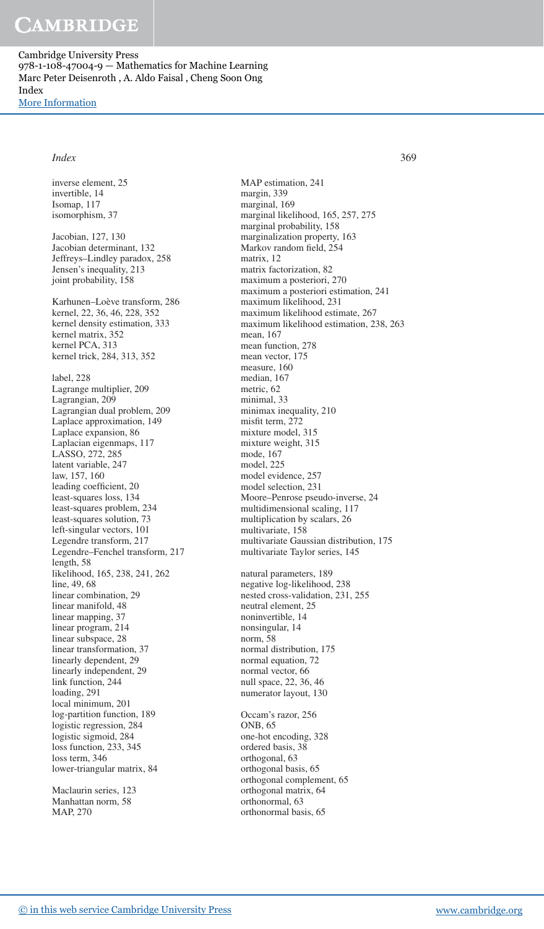Cambridge University Press 978-1-108-47004-9 — Mathematics for Machine Learning Marc Peter Deisenroth , A. Aldo Faisal , Cheng Soon Ong Index [More Information](www.cambridge.org/9781108470049)

### *Index* 369

inverse element, 25

invertible, 14 Isomap, 117 isomorphism, 37 Jacobian, 127, 130 Jacobian determinant, 132 Jeffreys–Lindley paradox, 258 Jensen's inequality, 213 joint probability, 158 Karhunen–Loève transform, 286 kernel, 22, 36, 46, 228, 352 kernel density estimation, 333 kernel matrix, 352 kernel PCA, 313 kernel trick, 284, 313, 352 label, 228 Lagrange multiplier, 209 Lagrangian, 209 Lagrangian dual problem, 209 Laplace approximation, 149 Laplace expansion, 86 Laplacian eigenmaps, 117 LASSO, 272, 285 latent variable, 247 law, 157, 160 leading coefficient, 20 least-squares loss, 134 least-squares problem, 234 least-squares solution, 73 left-singular vectors, 101 Legendre transform, 217 Legendre–Fenchel transform, 217 length, 58 likelihood, 165, 238, 241, 262 line, 49, 68 linear combination, 29 linear manifold, 48 linear mapping, 37 linear program, 214 linear subspace, 28 linear transformation, 37 linearly dependent, 29 linearly independent, 29 link function, 244 loading, 291 local minimum, 201 log-partition function, 189 logistic regression, 284 logistic sigmoid, 284 loss function, 233, 345 loss term, 346 lower-triangular matrix, 84

Maclaurin series, 123 Manhattan norm, 58 MAP, 270

MAP estimation, 241 margin, 339 marginal, 169 marginal likelihood, 165, 257, 275 marginal probability, 158 marginalization property, 163 Markov random field, 254 matrix, 12 matrix factorization, 82 maximum a posteriori, 270 maximum a posteriori estimation, 241 maximum likelihood, 231 maximum likelihood estimate, 267 maximum likelihood estimation, 238, 263 mean, 167 mean function, 278 mean vector, 175 measure, 160 median, 167 metric, 62 minimal, 33 minimax inequality, 210 misfit term,  $272$ mixture model, 315 mixture weight, 315 mode, 167 model, 225 model evidence, 257 model selection, 231 Moore–Penrose pseudo-inverse, 24 multidimensional scaling, 117 multiplication by scalars, 26 multivariate, 158 multivariate Gaussian distribution, 175 multivariate Taylor series, 145 natural parameters, 189 negative log-likelihood, 238

nested cross-validation, 231, 255 neutral element, 25 noninvertible, 14 nonsingular, 14 norm, 58 normal distribution, 175 normal equation, 72 normal vector, 66 null space, 22, 36, 46 numerator layout, 130

Occam's razor, 256 ONB, 65 one-hot encoding, 328 ordered basis, 38 orthogonal, 63 orthogonal basis, 65 orthogonal complement, 65 orthogonal matrix, 64 orthonormal, 63 orthonormal basis, 65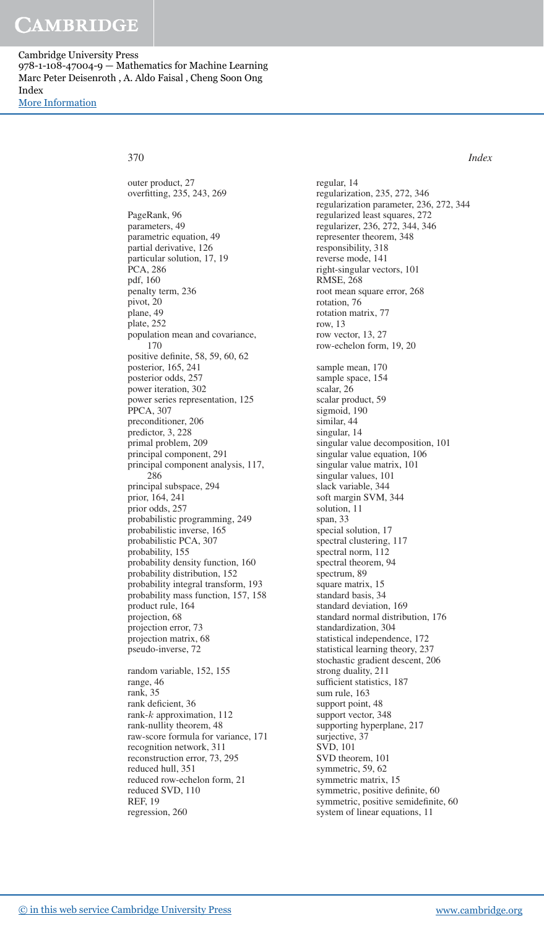# CAMBRIDGE

Cambridge University Press 978-1-108-47004-9 — Mathematics for Machine Learning Marc Peter Deisenroth , A. Aldo Faisal , Cheng Soon Ong Index [More Information](www.cambridge.org/9781108470049)

370 *Index*

outer product, 27 overfitting, 235, 243, 269 PageRank, 96 parameters, 49 parametric equation, 49 partial derivative, 126 particular solution, 17, 19 PCA, 286 pdf, 160 penalty term, 236 pivot, 20 plane, 49 plate, 252 population mean and covariance, 170 positive definite, 58, 59, 60, 62 posterior, 165, 241 posterior odds, 257 power iteration, 302 power series representation, 125 PPCA, 307 preconditioner, 206 predictor, 3, 228 primal problem, 209 principal component, 291 principal component analysis, 117, 286 principal subspace, 294 prior, 164, 241 prior odds, 257 probabilistic programming, 249 probabilistic inverse, 165 probabilistic PCA, 307 probability, 155 probability density function, 160 probability distribution, 152 probability integral transform, 193 probability mass function, 157, 158 product rule, 164 projection, 68 projection error, 73 projection matrix, 68 pseudo-inverse, 72 random variable, 152, 155 range, 46

rank, 35 rank deficient, 36 rank-k approximation, 112 rank-nullity theorem, 48 raw-score formula for variance, 171 recognition network, 311 reconstruction error, 73, 295 reduced hull, 351 reduced row-echelon form, 21 reduced SVD, 110 REF, 19 regression, 260

regular, 14 regularization, 235, 272, 346 regularization parameter, 236, 272, 344 regularized least squares, 272 regularizer, 236, 272, 344, 346 representer theorem, 348 responsibility, 318 reverse mode, 141 right-singular vectors, 101 RMSE, 268 root mean square error, 268 rotation, 76 rotation matrix, 77 row, 13 row vector, 13, 27 row-echelon form, 19, 20 sample mean, 170 sample space, 154 scalar, 26 scalar product, 59 sigmoid, 190 similar, 44 singular, 14 singular value decomposition, 101 singular value equation, 106 singular value matrix, 101 singular values, 101 slack variable, 344 soft margin SVM, 344 solution, 11 span, 33 special solution, 17 spectral clustering, 117 spectral norm, 112 spectral theorem, 94 spectrum, 89 square matrix, 15 standard basis, 34 standard deviation, 169 standard normal distribution, 176 standardization, 304 statistical independence, 172 statistical learning theory, 237 stochastic gradient descent, 206 strong duality, 211 sufficient statistics, 187 sum rule, 163 support point, 48 support vector, 348 supporting hyperplane, 217 surjective, 37 SVD, 101 SVD theorem, 101 symmetric, 59, 62 symmetric matrix, 15 symmetric, positive definite, 60 symmetric, positive semidefinite, 60 system of linear equations, 11